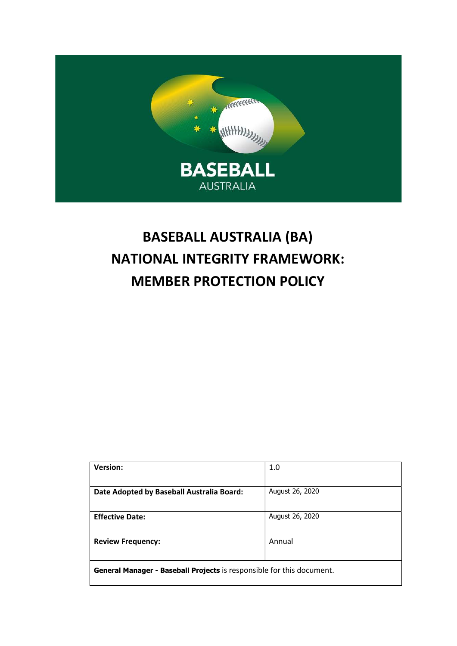

# BASEBALL AUSTRALIA (BA) NATIONAL INTEGRITY FRAMEWORK: MEMBER PROTECTION POLICY

| <b>Version:</b>                                                       | 1.0             |
|-----------------------------------------------------------------------|-----------------|
|                                                                       |                 |
| Date Adopted by Baseball Australia Board:                             | August 26, 2020 |
| <b>Effective Date:</b>                                                | August 26, 2020 |
| <b>Review Frequency:</b>                                              | Annual          |
| General Manager - Baseball Projects is responsible for this document. |                 |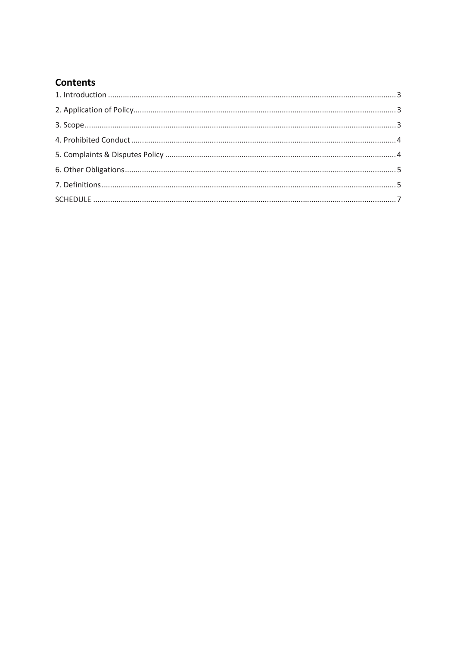## **Contents**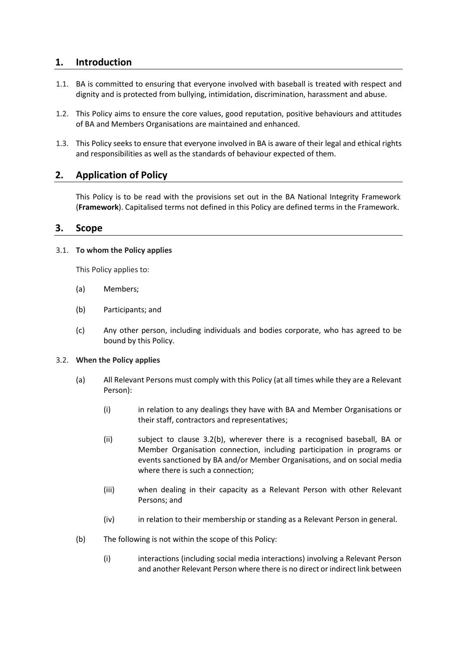## 1. Introduction

- 1.1. BA is committed to ensuring that everyone involved with baseball is treated with respect and dignity and is protected from bullying, intimidation, discrimination, harassment and abuse.
- 1.2. This Policy aims to ensure the core values, good reputation, positive behaviours and attitudes of BA and Members Organisations are maintained and enhanced.
- 1.3. This Policy seeks to ensure that everyone involved in BA is aware of their legal and ethical rights and responsibilities as well as the standards of behaviour expected of them.

## 2. Application of Policy

This Policy is to be read with the provisions set out in the BA National Integrity Framework (Framework). Capitalised terms not defined in this Policy are defined terms in the Framework.

## 3. Scope

#### 3.1. To whom the Policy applies

This Policy applies to:

- (a) Members;
- (b) Participants; and
- (c) Any other person, including individuals and bodies corporate, who has agreed to be bound by this Policy.

#### 3.2. When the Policy applies

- (a) All Relevant Persons must comply with this Policy (at all times while they are a Relevant Person):
	- (i) in relation to any dealings they have with BA and Member Organisations or their staff, contractors and representatives;
	- (ii) subject to clause 3.2(b), wherever there is a recognised baseball, BA or Member Organisation connection, including participation in programs or events sanctioned by BA and/or Member Organisations, and on social media where there is such a connection;
	- (iii) when dealing in their capacity as a Relevant Person with other Relevant Persons; and
	- (iv) in relation to their membership or standing as a Relevant Person in general.
- (b) The following is not within the scope of this Policy:
	- (i) interactions (including social media interactions) involving a Relevant Person and another Relevant Person where there is no direct or indirect link between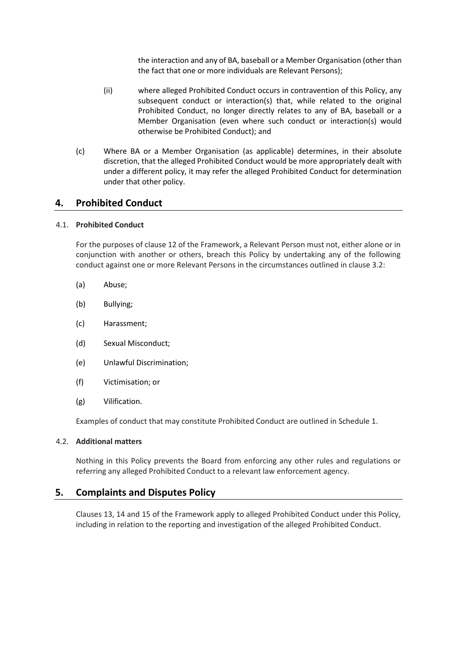the interaction and any of BA, baseball or a Member Organisation (other than the fact that one or more individuals are Relevant Persons);

- (ii) where alleged Prohibited Conduct occurs in contravention of this Policy, any subsequent conduct or interaction(s) that, while related to the original Prohibited Conduct, no longer directly relates to any of BA, baseball or a Member Organisation (even where such conduct or interaction(s) would otherwise be Prohibited Conduct); and
- (c) Where BA or a Member Organisation (as applicable) determines, in their absolute discretion, that the alleged Prohibited Conduct would be more appropriately dealt with under a different policy, it may refer the alleged Prohibited Conduct for determination under that other policy.

## 4. Prohibited Conduct

#### 4.1. Prohibited Conduct

For the purposes of clause 12 of the Framework, a Relevant Person must not, either alone or in conjunction with another or others, breach this Policy by undertaking any of the following conduct against one or more Relevant Persons in the circumstances outlined in clause 3.2:

- (a) Abuse;
- (b) Bullying;
- (c) Harassment;
- (d) Sexual Misconduct;
- (e) Unlawful Discrimination;
- (f) Victimisation; or
- (g) Vilification.

Examples of conduct that may constitute Prohibited Conduct are outlined in Schedule 1.

#### 4.2. Additional matters

Nothing in this Policy prevents the Board from enforcing any other rules and regulations or referring any alleged Prohibited Conduct to a relevant law enforcement agency.

## 5. Complaints and Disputes Policy

Clauses 13, 14 and 15 of the Framework apply to alleged Prohibited Conduct under this Policy, including in relation to the reporting and investigation of the alleged Prohibited Conduct.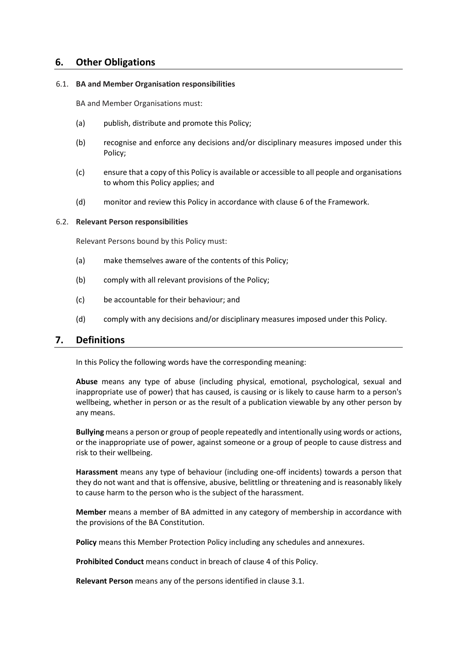## 6. Other Obligations

#### 6.1. BA and Member Organisation responsibilities

BA and Member Organisations must:

- (a) publish, distribute and promote this Policy;
- (b) recognise and enforce any decisions and/or disciplinary measures imposed under this Policy;
- (c) ensure that a copy of this Policy is available or accessible to all people and organisations to whom this Policy applies; and
- (d) monitor and review this Policy in accordance with clause 6 of the Framework.

#### 6.2. Relevant Person responsibilities

Relevant Persons bound by this Policy must:

- (a) make themselves aware of the contents of this Policy;
- (b) comply with all relevant provisions of the Policy;
- (c) be accountable for their behaviour; and
- (d) comply with any decisions and/or disciplinary measures imposed under this Policy.

### 7. Definitions

In this Policy the following words have the corresponding meaning:

Abuse means any type of abuse (including physical, emotional, psychological, sexual and inappropriate use of power) that has caused, is causing or is likely to cause harm to a person's wellbeing, whether in person or as the result of a publication viewable by any other person by any means.

Bullying means a person or group of people repeatedly and intentionally using words or actions, or the inappropriate use of power, against someone or a group of people to cause distress and risk to their wellbeing.

Harassment means any type of behaviour (including one-off incidents) towards a person that they do not want and that is offensive, abusive, belittling or threatening and is reasonably likely to cause harm to the person who is the subject of the harassment.

Member means a member of BA admitted in any category of membership in accordance with the provisions of the BA Constitution.

Policy means this Member Protection Policy including any schedules and annexures.

Prohibited Conduct means conduct in breach of clause 4 of this Policy.

Relevant Person means any of the persons identified in clause 3.1.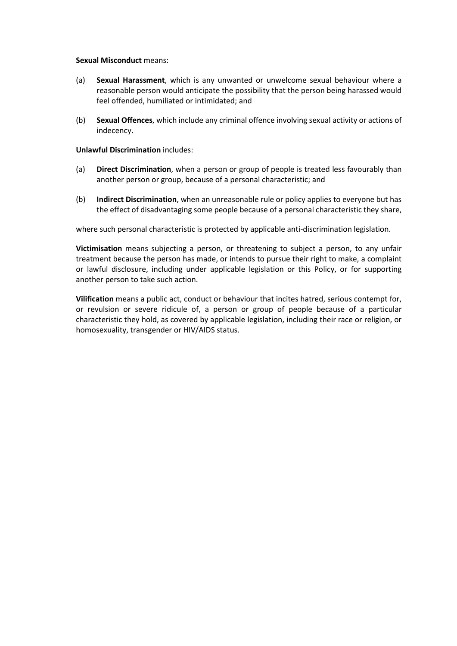#### Sexual Misconduct means:

- (a) Sexual Harassment, which is any unwanted or unwelcome sexual behaviour where a reasonable person would anticipate the possibility that the person being harassed would feel offended, humiliated or intimidated; and
- (b) Sexual Offences, which include any criminal offence involving sexual activity or actions of indecency.

#### Unlawful Discrimination includes:

- (a) Direct Discrimination, when a person or group of people is treated less favourably than another person or group, because of a personal characteristic; and
- (b) Indirect Discrimination, when an unreasonable rule or policy applies to everyone but has the effect of disadvantaging some people because of a personal characteristic they share,

where such personal characteristic is protected by applicable anti-discrimination legislation.

Victimisation means subjecting a person, or threatening to subject a person, to any unfair treatment because the person has made, or intends to pursue their right to make, a complaint or lawful disclosure, including under applicable legislation or this Policy, or for supporting another person to take such action.

Vilification means a public act, conduct or behaviour that incites hatred, serious contempt for, or revulsion or severe ridicule of, a person or group of people because of a particular characteristic they hold, as covered by applicable legislation, including their race or religion, or homosexuality, transgender or HIV/AIDS status.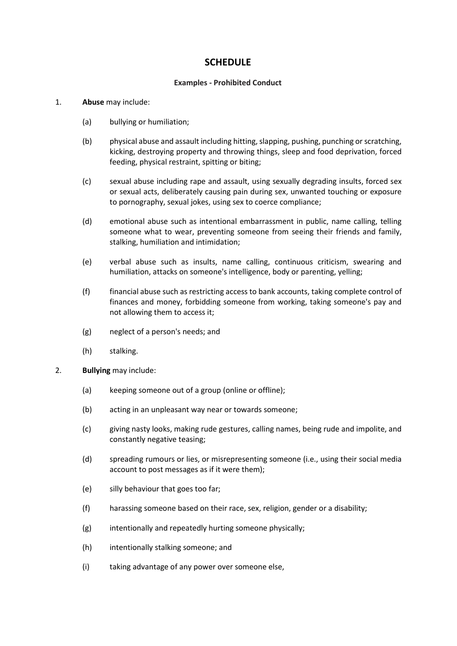## **SCHEDULE**

#### Examples - Prohibited Conduct

#### 1. Abuse may include:

- (a) bullying or humiliation;
- (b) physical abuse and assault including hitting, slapping, pushing, punching or scratching, kicking, destroying property and throwing things, sleep and food deprivation, forced feeding, physical restraint, spitting or biting;
- (c) sexual abuse including rape and assault, using sexually degrading insults, forced sex or sexual acts, deliberately causing pain during sex, unwanted touching or exposure to pornography, sexual jokes, using sex to coerce compliance;
- (d) emotional abuse such as intentional embarrassment in public, name calling, telling someone what to wear, preventing someone from seeing their friends and family, stalking, humiliation and intimidation;
- (e) verbal abuse such as insults, name calling, continuous criticism, swearing and humiliation, attacks on someone's intelligence, body or parenting, yelling;
- (f) financial abuse such as restricting access to bank accounts, taking complete control of finances and money, forbidding someone from working, taking someone's pay and not allowing them to access it;
- (g) neglect of a person's needs; and
- (h) stalking.
- 2. Bullying may include:
	- (a) keeping someone out of a group (online or offline);
	- (b) acting in an unpleasant way near or towards someone;
	- (c) giving nasty looks, making rude gestures, calling names, being rude and impolite, and constantly negative teasing;
	- (d) spreading rumours or lies, or misrepresenting someone (i.e., using their social media account to post messages as if it were them);
	- (e) silly behaviour that goes too far;
	- (f) harassing someone based on their race, sex, religion, gender or a disability;
	- (g) intentionally and repeatedly hurting someone physically;
	- (h) intentionally stalking someone; and
	- (i) taking advantage of any power over someone else,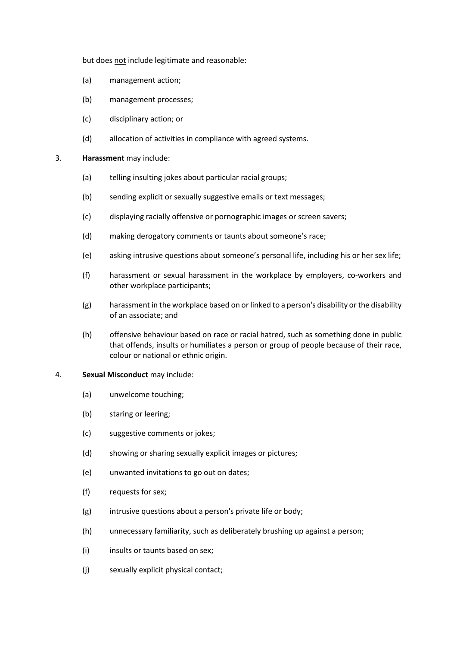but does not include legitimate and reasonable:

- (a) management action;
- (b) management processes;
- (c) disciplinary action; or
- (d) allocation of activities in compliance with agreed systems.

#### 3. Harassment may include:

- (a) telling insulting jokes about particular racial groups;
- (b) sending explicit or sexually suggestive emails or text messages;
- (c) displaying racially offensive or pornographic images or screen savers;
- (d) making derogatory comments or taunts about someone's race;
- (e) asking intrusive questions about someone's personal life, including his or her sex life;
- (f) harassment or sexual harassment in the workplace by employers, co-workers and other workplace participants;
- (g) harassment in the workplace based on or linked to a person's disability or the disability of an associate; and
- (h) offensive behaviour based on race or racial hatred, such as something done in public that offends, insults or humiliates a person or group of people because of their race, colour or national or ethnic origin.

#### 4. Sexual Misconduct may include:

- (a) unwelcome touching;
- (b) staring or leering;
- (c) suggestive comments or jokes;
- (d) showing or sharing sexually explicit images or pictures;
- (e) unwanted invitations to go out on dates;
- (f) requests for sex;
- (g) intrusive questions about a person's private life or body;
- (h) unnecessary familiarity, such as deliberately brushing up against a person;
- (i) insults or taunts based on sex;
- (j) sexually explicit physical contact;